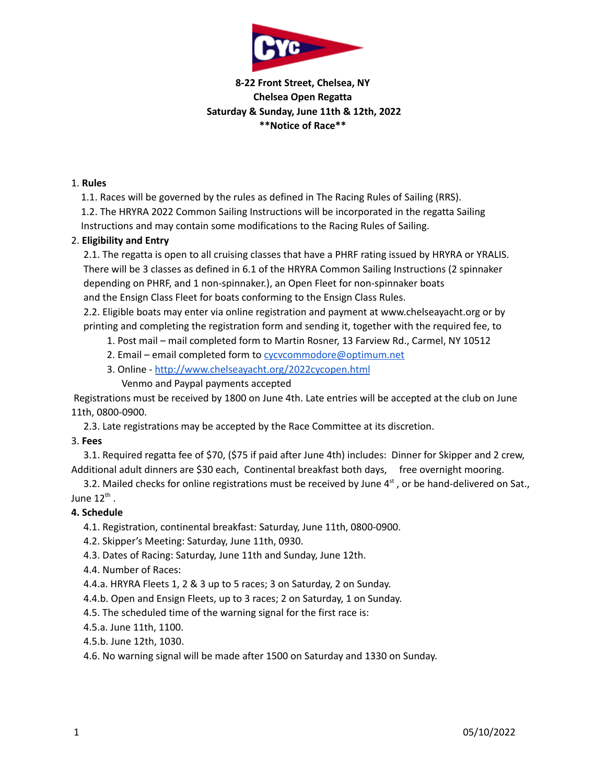

# **8-22 Front Street, Chelsea, NY Chelsea Open Regatta Saturday & Sunday, June 11th & 12th, 2022 \*\*Notice of Race\*\***

#### 1. **Rules**

1.1. Races will be governed by the rules as defined in The Racing Rules of Sailing (RRS).

1.2. The HRYRA 2022 Common Sailing Instructions will be incorporated in the regatta Sailing

Instructions and may contain some modifications to the Racing Rules of Sailing.

## 2. **Eligibility and Entry**

2.1. The regatta is open to all cruising classes that have a PHRF rating issued by HRYRA or YRALIS. There will be 3 classes as defined in 6.1 of the HRYRA Common Sailing Instructions (2 spinnaker depending on PHRF, and 1 non-spinnaker.), an Open Fleet for non-spinnaker boats and the Ensign Class Fleet for boats conforming to the Ensign Class Rules.

2.2. Eligible boats may enter via online registration and payment at www.chelseayacht.org or by printing and completing the registration form and sending it, together with the required fee, to

- 1. Post mail mail completed form to Martin Rosner, 13 Farview Rd., Carmel, NY 10512
- 2. Email email completed form to cycycommodore@optimum.net
- 3. Online <http://www.chelseayacht.org/2022cycopen.html> Venmo and Paypal payments accepted

Registrations must be received by 1800 on June 4th. Late entries will be accepted at the club on June 11th, 0800-0900.

2.3. Late registrations may be accepted by the Race Committee at its discretion.

#### 3. **Fees**

3.1. Required regatta fee of \$70, (\$75 if paid after June 4th) includes: Dinner for Skipper and 2 crew, Additional adult dinners are \$30 each, Continental breakfast both days, free overnight mooring.

3.2. Mailed checks for online registrations must be received by June  $4<sup>st</sup>$ , or be hand-delivered on Sat., June  $12^{\text{th}}$  .

## **4. Schedule**

4.1. Registration, continental breakfast: Saturday, June 11th, 0800-0900.

- 4.2. Skipper's Meeting: Saturday, June 11th, 0930.
- 4.3. Dates of Racing: Saturday, June 11th and Sunday, June 12th.
- 4.4. Number of Races:
- 4.4.a. HRYRA Fleets 1, 2 & 3 up to 5 races; 3 on Saturday, 2 on Sunday.
- 4.4.b. Open and Ensign Fleets, up to 3 races; 2 on Saturday, 1 on Sunday.
- 4.5. The scheduled time of the warning signal for the first race is:
- 4.5.a. June 11th, 1100.
- 4.5.b. June 12th, 1030.

4.6. No warning signal will be made after 1500 on Saturday and 1330 on Sunday.